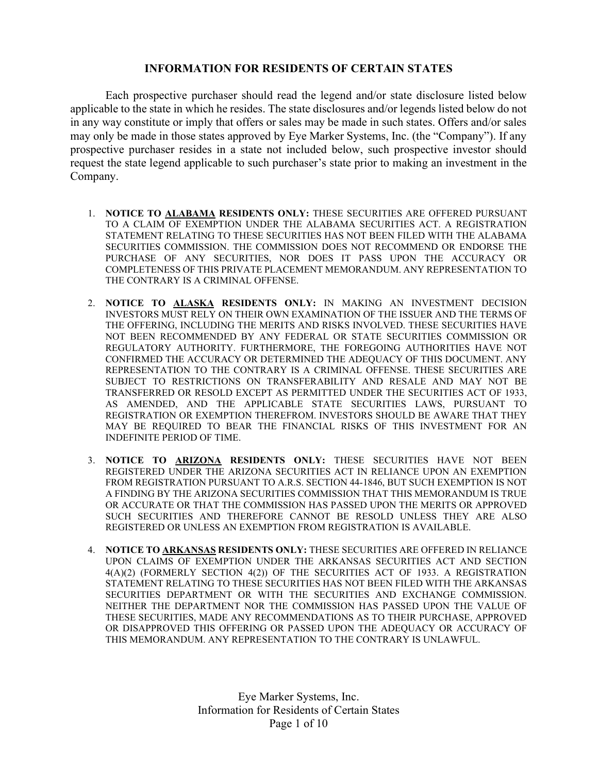## INFORMATION FOR RESIDENTS OF CERTAIN STATES

Each prospective purchaser should read the legend and/or state disclosure listed below applicable to the state in which he resides. The state disclosures and/or legends listed below do not in any way constitute or imply that offers or sales may be made in such states. Offers and/or sales may only be made in those states approved by Eye Marker Systems, Inc. (the "Company"). If any prospective purchaser resides in a state not included below, such prospective investor should request the state legend applicable to such purchaser's state prior to making an investment in the Company.

- 1. NOTICE TO ALABAMA RESIDENTS ONLY: THESE SECURITIES ARE OFFERED PURSUANT TO A CLAIM OF EXEMPTION UNDER THE ALABAMA SECURITIES ACT. A REGISTRATION STATEMENT RELATING TO THESE SECURITIES HAS NOT BEEN FILED WITH THE ALABAMA SECURITIES COMMISSION. THE COMMISSION DOES NOT RECOMMEND OR ENDORSE THE PURCHASE OF ANY SECURITIES, NOR DOES IT PASS UPON THE ACCURACY OR COMPLETENESS OF THIS PRIVATE PLACEMENT MEMORANDUM. ANY REPRESENTATION TO THE CONTRARY IS A CRIMINAL OFFENSE.
- 2. NOTICE TO ALASKA RESIDENTS ONLY: IN MAKING AN INVESTMENT DECISION INVESTORS MUST RELY ON THEIR OWN EXAMINATION OF THE ISSUER AND THE TERMS OF THE OFFERING, INCLUDING THE MERITS AND RISKS INVOLVED. THESE SECURITIES HAVE NOT BEEN RECOMMENDED BY ANY FEDERAL OR STATE SECURITIES COMMISSION OR REGULATORY AUTHORITY. FURTHERMORE, THE FOREGOING AUTHORITIES HAVE NOT CONFIRMED THE ACCURACY OR DETERMINED THE ADEQUACY OF THIS DOCUMENT. ANY REPRESENTATION TO THE CONTRARY IS A CRIMINAL OFFENSE. THESE SECURITIES ARE SUBJECT TO RESTRICTIONS ON TRANSFERABILITY AND RESALE AND MAY NOT BE TRANSFERRED OR RESOLD EXCEPT AS PERMITTED UNDER THE SECURITIES ACT OF 1933, AS AMENDED, AND THE APPLICABLE STATE SECURITIES LAWS, PURSUANT TO REGISTRATION OR EXEMPTION THEREFROM. INVESTORS SHOULD BE AWARE THAT THEY MAY BE REQUIRED TO BEAR THE FINANCIAL RISKS OF THIS INVESTMENT FOR AN INDEFINITE PERIOD OF TIME.
- 3. NOTICE TO ARIZONA RESIDENTS ONLY: THESE SECURITIES HAVE NOT BEEN REGISTERED UNDER THE ARIZONA SECURITIES ACT IN RELIANCE UPON AN EXEMPTION FROM REGISTRATION PURSUANT TO A.R.S. SECTION 44-1846, BUT SUCH EXEMPTION IS NOT A FINDING BY THE ARIZONA SECURITIES COMMISSION THAT THIS MEMORANDUM IS TRUE OR ACCURATE OR THAT THE COMMISSION HAS PASSED UPON THE MERITS OR APPROVED SUCH SECURITIES AND THEREFORE CANNOT BE RESOLD UNLESS THEY ARE ALSO REGISTERED OR UNLESS AN EXEMPTION FROM REGISTRATION IS AVAILABLE.
- 4. NOTICE TO ARKANSAS RESIDENTS ONLY: THESE SECURITIES ARE OFFERED IN RELIANCE UPON CLAIMS OF EXEMPTION UNDER THE ARKANSAS SECURITIES ACT AND SECTION 4(A)(2) (FORMERLY SECTION 4(2)) OF THE SECURITIES ACT OF 1933. A REGISTRATION STATEMENT RELATING TO THESE SECURITIES HAS NOT BEEN FILED WITH THE ARKANSAS SECURITIES DEPARTMENT OR WITH THE SECURITIES AND EXCHANGE COMMISSION. NEITHER THE DEPARTMENT NOR THE COMMISSION HAS PASSED UPON THE VALUE OF THESE SECURITIES, MADE ANY RECOMMENDATIONS AS TO THEIR PURCHASE, APPROVED OR DISAPPROVED THIS OFFERING OR PASSED UPON THE ADEQUACY OR ACCURACY OF THIS MEMORANDUM. ANY REPRESENTATION TO THE CONTRARY IS UNLAWFUL.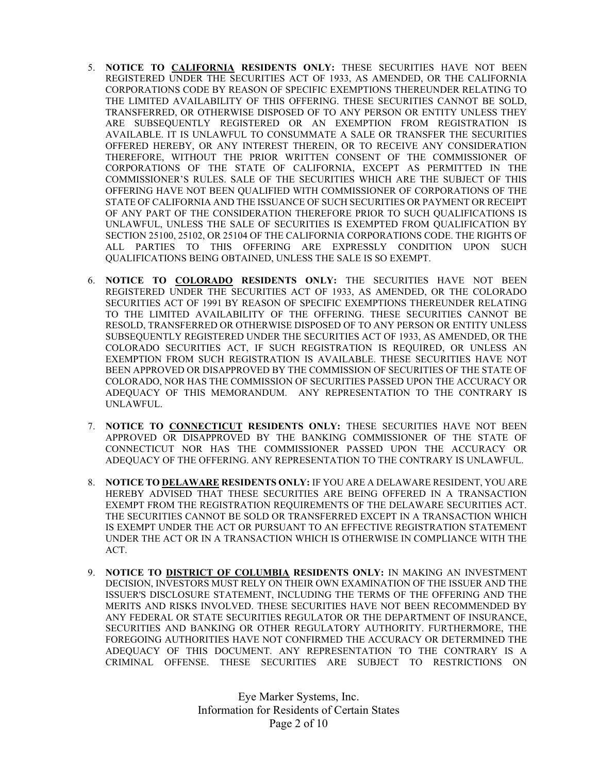- 5. NOTICE TO CALIFORNIA RESIDENTS ONLY: THESE SECURITIES HAVE NOT BEEN REGISTERED UNDER THE SECURITIES ACT OF 1933, AS AMENDED, OR THE CALIFORNIA CORPORATIONS CODE BY REASON OF SPECIFIC EXEMPTIONS THEREUNDER RELATING TO THE LIMITED AVAILABILITY OF THIS OFFERING. THESE SECURITIES CANNOT BE SOLD, TRANSFERRED, OR OTHERWISE DISPOSED OF TO ANY PERSON OR ENTITY UNLESS THEY ARE SUBSEQUENTLY REGISTERED OR AN EXEMPTION FROM REGISTRATION IS AVAILABLE. IT IS UNLAWFUL TO CONSUMMATE A SALE OR TRANSFER THE SECURITIES OFFERED HEREBY, OR ANY INTEREST THEREIN, OR TO RECEIVE ANY CONSIDERATION THEREFORE, WITHOUT THE PRIOR WRITTEN CONSENT OF THE COMMISSIONER OF CORPORATIONS OF THE STATE OF CALIFORNIA, EXCEPT AS PERMITTED IN THE COMMISSIONER'S RULES. SALE OF THE SECURITIES WHICH ARE THE SUBJECT OF THIS OFFERING HAVE NOT BEEN QUALIFIED WITH COMMISSIONER OF CORPORATIONS OF THE STATE OF CALIFORNIA AND THE ISSUANCE OF SUCH SECURITIES OR PAYMENT OR RECEIPT OF ANY PART OF THE CONSIDERATION THEREFORE PRIOR TO SUCH QUALIFICATIONS IS UNLAWFUL, UNLESS THE SALE OF SECURITIES IS EXEMPTED FROM QUALIFICATION BY SECTION 25100, 25102, OR 25104 OF THE CALIFORNIA CORPORATIONS CODE. THE RIGHTS OF ALL PARTIES TO THIS OFFERING ARE EXPRESSLY CONDITION UPON SUCH QUALIFICATIONS BEING OBTAINED, UNLESS THE SALE IS SO EXEMPT.
- 6. NOTICE TO COLORADO RESIDENTS ONLY: THE SECURITIES HAVE NOT BEEN REGISTERED UNDER THE SECURITIES ACT OF 1933, AS AMENDED, OR THE COLORADO SECURITIES ACT OF 1991 BY REASON OF SPECIFIC EXEMPTIONS THEREUNDER RELATING TO THE LIMITED AVAILABILITY OF THE OFFERING. THESE SECURITIES CANNOT BE RESOLD, TRANSFERRED OR OTHERWISE DISPOSED OF TO ANY PERSON OR ENTITY UNLESS SUBSEQUENTLY REGISTERED UNDER THE SECURITIES ACT OF 1933, AS AMENDED, OR THE COLORADO SECURITIES ACT, IF SUCH REGISTRATION IS REQUIRED, OR UNLESS AN EXEMPTION FROM SUCH REGISTRATION IS AVAILABLE. THESE SECURITIES HAVE NOT BEEN APPROVED OR DISAPPROVED BY THE COMMISSION OF SECURITIES OF THE STATE OF COLORADO, NOR HAS THE COMMISSION OF SECURITIES PASSED UPON THE ACCURACY OR ADEQUACY OF THIS MEMORANDUM. ANY REPRESENTATION TO THE CONTRARY IS UNLAWFUL.
- 7. NOTICE TO CONNECTICUT RESIDENTS ONLY: THESE SECURITIES HAVE NOT BEEN APPROVED OR DISAPPROVED BY THE BANKING COMMISSIONER OF THE STATE OF CONNECTICUT NOR HAS THE COMMISSIONER PASSED UPON THE ACCURACY OR ADEQUACY OF THE OFFERING. ANY REPRESENTATION TO THE CONTRARY IS UNLAWFUL.
- 8. NOTICE TO DELAWARE RESIDENTS ONLY: IF YOU ARE A DELAWARE RESIDENT, YOU ARE HEREBY ADVISED THAT THESE SECURITIES ARE BEING OFFERED IN A TRANSACTION EXEMPT FROM THE REGISTRATION REQUIREMENTS OF THE DELAWARE SECURITIES ACT. THE SECURITIES CANNOT BE SOLD OR TRANSFERRED EXCEPT IN A TRANSACTION WHICH IS EXEMPT UNDER THE ACT OR PURSUANT TO AN EFFECTIVE REGISTRATION STATEMENT UNDER THE ACT OR IN A TRANSACTION WHICH IS OTHERWISE IN COMPLIANCE WITH THE ACT.
- 9. NOTICE TO DISTRICT OF COLUMBIA RESIDENTS ONLY: IN MAKING AN INVESTMENT DECISION, INVESTORS MUST RELY ON THEIR OWN EXAMINATION OF THE ISSUER AND THE ISSUER'S DISCLOSURE STATEMENT, INCLUDING THE TERMS OF THE OFFERING AND THE MERITS AND RISKS INVOLVED. THESE SECURITIES HAVE NOT BEEN RECOMMENDED BY ANY FEDERAL OR STATE SECURITIES REGULATOR OR THE DEPARTMENT OF INSURANCE, SECURITIES AND BANKING OR OTHER REGULATORY AUTHORITY. FURTHERMORE, THE FOREGOING AUTHORITIES HAVE NOT CONFIRMED THE ACCURACY OR DETERMINED THE ADEQUACY OF THIS DOCUMENT. ANY REPRESENTATION TO THE CONTRARY IS A CRIMINAL OFFENSE. THESE SECURITIES ARE SUBJECT TO RESTRICTIONS ON

Eye Marker Systems, Inc. Information for Residents of Certain States Page 2 of 10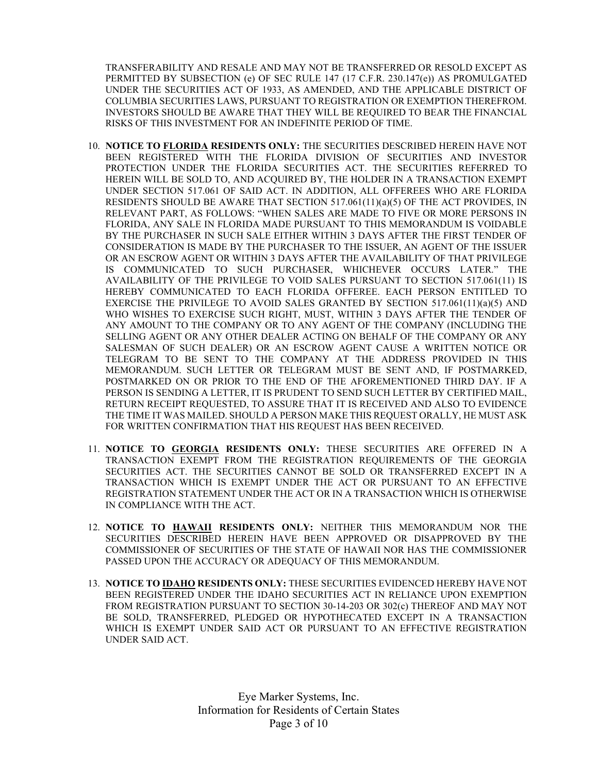TRANSFERABILITY AND RESALE AND MAY NOT BE TRANSFERRED OR RESOLD EXCEPT AS PERMITTED BY SUBSECTION (e) OF SEC RULE 147 (17 C.F.R. 230.147(e)) AS PROMULGATED UNDER THE SECURITIES ACT OF 1933, AS AMENDED, AND THE APPLICABLE DISTRICT OF COLUMBIA SECURITIES LAWS, PURSUANT TO REGISTRATION OR EXEMPTION THEREFROM. INVESTORS SHOULD BE AWARE THAT THEY WILL BE REQUIRED TO BEAR THE FINANCIAL RISKS OF THIS INVESTMENT FOR AN INDEFINITE PERIOD OF TIME.

- 10. NOTICE TO FLORIDA RESIDENTS ONLY: THE SECURITIES DESCRIBED HEREIN HAVE NOT BEEN REGISTERED WITH THE FLORIDA DIVISION OF SECURITIES AND INVESTOR PROTECTION UNDER THE FLORIDA SECURITIES ACT. THE SECURITIES REFERRED TO HEREIN WILL BE SOLD TO, AND ACQUIRED BY, THE HOLDER IN A TRANSACTION EXEMPT UNDER SECTION 517.061 OF SAID ACT. IN ADDITION, ALL OFFEREES WHO ARE FLORIDA RESIDENTS SHOULD BE AWARE THAT SECTION 517.061(11)(a)(5) OF THE ACT PROVIDES, IN RELEVANT PART, AS FOLLOWS: "WHEN SALES ARE MADE TO FIVE OR MORE PERSONS IN FLORIDA, ANY SALE IN FLORIDA MADE PURSUANT TO THIS MEMORANDUM IS VOIDABLE BY THE PURCHASER IN SUCH SALE EITHER WITHIN 3 DAYS AFTER THE FIRST TENDER OF CONSIDERATION IS MADE BY THE PURCHASER TO THE ISSUER, AN AGENT OF THE ISSUER OR AN ESCROW AGENT OR WITHIN 3 DAYS AFTER THE AVAILABILITY OF THAT PRIVILEGE IS COMMUNICATED TO SUCH PURCHASER, WHICHEVER OCCURS LATER." THE AVAILABILITY OF THE PRIVILEGE TO VOID SALES PURSUANT TO SECTION 517.061(11) IS HEREBY COMMUNICATED TO EACH FLORIDA OFFEREE. EACH PERSON ENTITLED TO EXERCISE THE PRIVILEGE TO AVOID SALES GRANTED BY SECTION 517.061(11)(a)(5) AND WHO WISHES TO EXERCISE SUCH RIGHT, MUST, WITHIN 3 DAYS AFTER THE TENDER OF ANY AMOUNT TO THE COMPANY OR TO ANY AGENT OF THE COMPANY (INCLUDING THE SELLING AGENT OR ANY OTHER DEALER ACTING ON BEHALF OF THE COMPANY OR ANY SALESMAN OF SUCH DEALER) OR AN ESCROW AGENT CAUSE A WRITTEN NOTICE OR TELEGRAM TO BE SENT TO THE COMPANY AT THE ADDRESS PROVIDED IN THIS MEMORANDUM. SUCH LETTER OR TELEGRAM MUST BE SENT AND, IF POSTMARKED, POSTMARKED ON OR PRIOR TO THE END OF THE AFOREMENTIONED THIRD DAY. IF A PERSON IS SENDING A LETTER, IT IS PRUDENT TO SEND SUCH LETTER BY CERTIFIED MAIL, RETURN RECEIPT REQUESTED, TO ASSURE THAT IT IS RECEIVED AND ALSO TO EVIDENCE THE TIME IT WAS MAILED. SHOULD A PERSON MAKE THIS REQUEST ORALLY, HE MUST ASK FOR WRITTEN CONFIRMATION THAT HIS REQUEST HAS BEEN RECEIVED.
- 11. NOTICE TO GEORGIA RESIDENTS ONLY: THESE SECURITIES ARE OFFERED IN A TRANSACTION EXEMPT FROM THE REGISTRATION REQUIREMENTS OF THE GEORGIA SECURITIES ACT. THE SECURITIES CANNOT BE SOLD OR TRANSFERRED EXCEPT IN A TRANSACTION WHICH IS EXEMPT UNDER THE ACT OR PURSUANT TO AN EFFECTIVE REGISTRATION STATEMENT UNDER THE ACT OR IN A TRANSACTION WHICH IS OTHERWISE IN COMPLIANCE WITH THE ACT.
- 12. NOTICE TO HAWAII RESIDENTS ONLY: NEITHER THIS MEMORANDUM NOR THE SECURITIES DESCRIBED HEREIN HAVE BEEN APPROVED OR DISAPPROVED BY THE COMMISSIONER OF SECURITIES OF THE STATE OF HAWAII NOR HAS THE COMMISSIONER PASSED UPON THE ACCURACY OR ADEQUACY OF THIS MEMORANDUM.
- 13. NOTICE TO IDAHO RESIDENTS ONLY: THESE SECURITIES EVIDENCED HEREBY HAVE NOT BEEN REGISTERED UNDER THE IDAHO SECURITIES ACT IN RELIANCE UPON EXEMPTION FROM REGISTRATION PURSUANT TO SECTION 30-14-203 OR 302(c) THEREOF AND MAY NOT BE SOLD, TRANSFERRED, PLEDGED OR HYPOTHECATED EXCEPT IN A TRANSACTION WHICH IS EXEMPT UNDER SAID ACT OR PURSUANT TO AN EFFECTIVE REGISTRATION UNDER SAID ACT.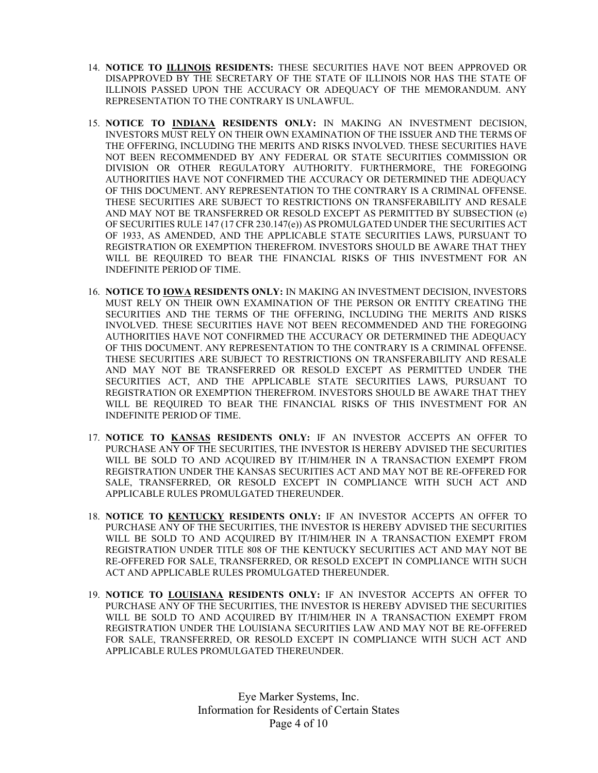- 14. NOTICE TO ILLINOIS RESIDENTS: THESE SECURITIES HAVE NOT BEEN APPROVED OR DISAPPROVED BY THE SECRETARY OF THE STATE OF ILLINOIS NOR HAS THE STATE OF ILLINOIS PASSED UPON THE ACCURACY OR ADEQUACY OF THE MEMORANDUM. ANY REPRESENTATION TO THE CONTRARY IS UNLAWFUL.
- 15. NOTICE TO INDIANA RESIDENTS ONLY: IN MAKING AN INVESTMENT DECISION, INVESTORS MUST RELY ON THEIR OWN EXAMINATION OF THE ISSUER AND THE TERMS OF THE OFFERING, INCLUDING THE MERITS AND RISKS INVOLVED. THESE SECURITIES HAVE NOT BEEN RECOMMENDED BY ANY FEDERAL OR STATE SECURITIES COMMISSION OR DIVISION OR OTHER REGULATORY AUTHORITY. FURTHERMORE, THE FOREGOING AUTHORITIES HAVE NOT CONFIRMED THE ACCURACY OR DETERMINED THE ADEQUACY OF THIS DOCUMENT. ANY REPRESENTATION TO THE CONTRARY IS A CRIMINAL OFFENSE. THESE SECURITIES ARE SUBJECT TO RESTRICTIONS ON TRANSFERABILITY AND RESALE AND MAY NOT BE TRANSFERRED OR RESOLD EXCEPT AS PERMITTED BY SUBSECTION (e) OF SECURITIES RULE 147 (17 CFR 230.147(e)) AS PROMULGATED UNDER THE SECURITIES ACT OF 1933, AS AMENDED, AND THE APPLICABLE STATE SECURITIES LAWS, PURSUANT TO REGISTRATION OR EXEMPTION THEREFROM. INVESTORS SHOULD BE AWARE THAT THEY WILL BE REQUIRED TO BEAR THE FINANCIAL RISKS OF THIS INVESTMENT FOR AN INDEFINITE PERIOD OF TIME.
- 16. NOTICE TO IOWA RESIDENTS ONLY: IN MAKING AN INVESTMENT DECISION, INVESTORS MUST RELY ON THEIR OWN EXAMINATION OF THE PERSON OR ENTITY CREATING THE SECURITIES AND THE TERMS OF THE OFFERING, INCLUDING THE MERITS AND RISKS INVOLVED. THESE SECURITIES HAVE NOT BEEN RECOMMENDED AND THE FOREGOING AUTHORITIES HAVE NOT CONFIRMED THE ACCURACY OR DETERMINED THE ADEQUACY OF THIS DOCUMENT. ANY REPRESENTATION TO THE CONTRARY IS A CRIMINAL OFFENSE. THESE SECURITIES ARE SUBJECT TO RESTRICTIONS ON TRANSFERABILITY AND RESALE AND MAY NOT BE TRANSFERRED OR RESOLD EXCEPT AS PERMITTED UNDER THE SECURITIES ACT, AND THE APPLICABLE STATE SECURITIES LAWS, PURSUANT TO REGISTRATION OR EXEMPTION THEREFROM. INVESTORS SHOULD BE AWARE THAT THEY WILL BE REQUIRED TO BEAR THE FINANCIAL RISKS OF THIS INVESTMENT FOR AN INDEFINITE PERIOD OF TIME.
- 17. NOTICE TO KANSAS RESIDENTS ONLY: IF AN INVESTOR ACCEPTS AN OFFER TO PURCHASE ANY OF THE SECURITIES, THE INVESTOR IS HEREBY ADVISED THE SECURITIES WILL BE SOLD TO AND ACQUIRED BY IT/HIM/HER IN A TRANSACTION EXEMPT FROM REGISTRATION UNDER THE KANSAS SECURITIES ACT AND MAY NOT BE RE-OFFERED FOR SALE, TRANSFERRED, OR RESOLD EXCEPT IN COMPLIANCE WITH SUCH ACT AND APPLICABLE RULES PROMULGATED THEREUNDER.
- 18. NOTICE TO KENTUCKY RESIDENTS ONLY: IF AN INVESTOR ACCEPTS AN OFFER TO PURCHASE ANY OF THE SECURITIES, THE INVESTOR IS HEREBY ADVISED THE SECURITIES WILL BE SOLD TO AND ACQUIRED BY IT/HIM/HER IN A TRANSACTION EXEMPT FROM REGISTRATION UNDER TITLE 808 OF THE KENTUCKY SECURITIES ACT AND MAY NOT BE RE-OFFERED FOR SALE, TRANSFERRED, OR RESOLD EXCEPT IN COMPLIANCE WITH SUCH ACT AND APPLICABLE RULES PROMULGATED THEREUNDER.
- 19. NOTICE TO LOUISIANA RESIDENTS ONLY: IF AN INVESTOR ACCEPTS AN OFFER TO PURCHASE ANY OF THE SECURITIES, THE INVESTOR IS HEREBY ADVISED THE SECURITIES WILL BE SOLD TO AND ACQUIRED BY IT/HIM/HER IN A TRANSACTION EXEMPT FROM REGISTRATION UNDER THE LOUISIANA SECURITIES LAW AND MAY NOT BE RE-OFFERED FOR SALE, TRANSFERRED, OR RESOLD EXCEPT IN COMPLIANCE WITH SUCH ACT AND APPLICABLE RULES PROMULGATED THEREUNDER.

Eye Marker Systems, Inc. Information for Residents of Certain States Page 4 of 10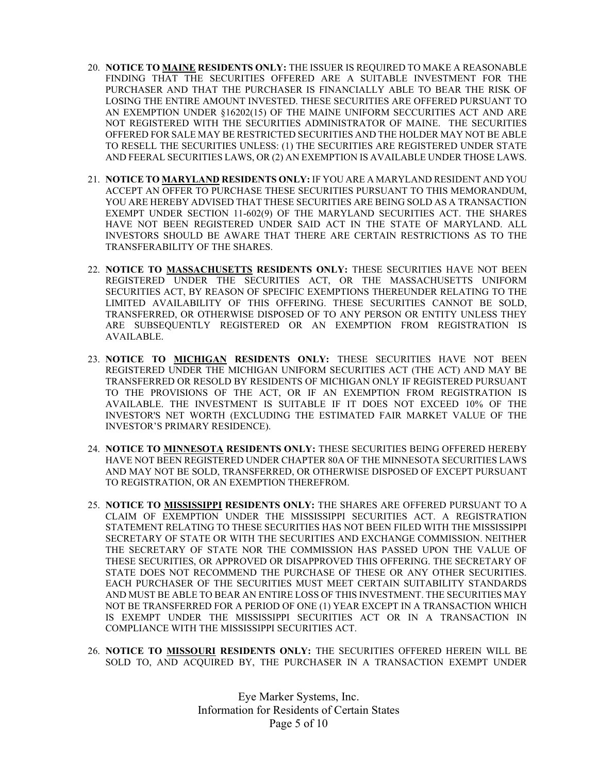- 20. NOTICE TO MAINE RESIDENTS ONLY: THE ISSUER IS REQUIRED TO MAKE A REASONABLE FINDING THAT THE SECURITIES OFFERED ARE A SUITABLE INVESTMENT FOR THE PURCHASER AND THAT THE PURCHASER IS FINANCIALLY ABLE TO BEAR THE RISK OF LOSING THE ENTIRE AMOUNT INVESTED. THESE SECURITIES ARE OFFERED PURSUANT TO AN EXEMPTION UNDER §16202(15) OF THE MAINE UNIFORM SECCURITIES ACT AND ARE NOT REGISTERED WITH THE SECURITIES ADMINISTRATOR OF MAINE. THE SECURITIES OFFERED FOR SALE MAY BE RESTRICTED SECURITIES AND THE HOLDER MAY NOT BE ABLE TO RESELL THE SECURITIES UNLESS: (1) THE SECURITIES ARE REGISTERED UNDER STATE AND FEERAL SECURITIES LAWS, OR (2) AN EXEMPTION IS AVAILABLE UNDER THOSE LAWS.
- 21. NOTICE TO MARYLAND RESIDENTS ONLY: IF YOU ARE A MARYLAND RESIDENT AND YOU ACCEPT AN OFFER TO PURCHASE THESE SECURITIES PURSUANT TO THIS MEMORANDUM, YOU ARE HEREBY ADVISED THAT THESE SECURITIES ARE BEING SOLD AS A TRANSACTION EXEMPT UNDER SECTION 11-602(9) OF THE MARYLAND SECURITIES ACT. THE SHARES HAVE NOT BEEN REGISTERED UNDER SAID ACT IN THE STATE OF MARYLAND. ALL INVESTORS SHOULD BE AWARE THAT THERE ARE CERTAIN RESTRICTIONS AS TO THE TRANSFERABILITY OF THE SHARES.
- 22. NOTICE TO MASSACHUSETTS RESIDENTS ONLY: THESE SECURITIES HAVE NOT BEEN REGISTERED UNDER THE SECURITIES ACT, OR THE MASSACHUSETTS UNIFORM SECURITIES ACT, BY REASON OF SPECIFIC EXEMPTIONS THEREUNDER RELATING TO THE LIMITED AVAILABILITY OF THIS OFFERING. THESE SECURITIES CANNOT BE SOLD, TRANSFERRED, OR OTHERWISE DISPOSED OF TO ANY PERSON OR ENTITY UNLESS THEY ARE SUBSEQUENTLY REGISTERED OR AN EXEMPTION FROM REGISTRATION IS AVAILABLE.
- 23. NOTICE TO MICHIGAN RESIDENTS ONLY: THESE SECURITIES HAVE NOT BEEN REGISTERED UNDER THE MICHIGAN UNIFORM SECURITIES ACT (THE ACT) AND MAY BE TRANSFERRED OR RESOLD BY RESIDENTS OF MICHIGAN ONLY IF REGISTERED PURSUANT TO THE PROVISIONS OF THE ACT, OR IF AN EXEMPTION FROM REGISTRATION IS AVAILABLE. THE INVESTMENT IS SUITABLE IF IT DOES NOT EXCEED 10% OF THE INVESTOR'S NET WORTH (EXCLUDING THE ESTIMATED FAIR MARKET VALUE OF THE INVESTOR'S PRIMARY RESIDENCE).
- 24. NOTICE TO MINNESOTA RESIDENTS ONLY: THESE SECURITIES BEING OFFERED HEREBY HAVE NOT BEEN REGISTERED UNDER CHAPTER 80A OF THE MINNESOTA SECURITIES LAWS AND MAY NOT BE SOLD, TRANSFERRED, OR OTHERWISE DISPOSED OF EXCEPT PURSUANT TO REGISTRATION, OR AN EXEMPTION THEREFROM.
- 25. NOTICE TO MISSISSIPPI RESIDENTS ONLY: THE SHARES ARE OFFERED PURSUANT TO A CLAIM OF EXEMPTION UNDER THE MISSISSIPPI SECURITIES ACT. A REGISTRATION STATEMENT RELATING TO THESE SECURITIES HAS NOT BEEN FILED WITH THE MISSISSIPPI SECRETARY OF STATE OR WITH THE SECURITIES AND EXCHANGE COMMISSION. NEITHER THE SECRETARY OF STATE NOR THE COMMISSION HAS PASSED UPON THE VALUE OF THESE SECURITIES, OR APPROVED OR DISAPPROVED THIS OFFERING. THE SECRETARY OF STATE DOES NOT RECOMMEND THE PURCHASE OF THESE OR ANY OTHER SECURITIES. EACH PURCHASER OF THE SECURITIES MUST MEET CERTAIN SUITABILITY STANDARDS AND MUST BE ABLE TO BEAR AN ENTIRE LOSS OF THIS INVESTMENT. THE SECURITIES MAY NOT BE TRANSFERRED FOR A PERIOD OF ONE (1) YEAR EXCEPT IN A TRANSACTION WHICH IS EXEMPT UNDER THE MISSISSIPPI SECURITIES ACT OR IN A TRANSACTION IN COMPLIANCE WITH THE MISSISSIPPI SECURITIES ACT.
- 26. NOTICE TO MISSOURI RESIDENTS ONLY: THE SECURITIES OFFERED HEREIN WILL BE SOLD TO, AND ACQUIRED BY, THE PURCHASER IN A TRANSACTION EXEMPT UNDER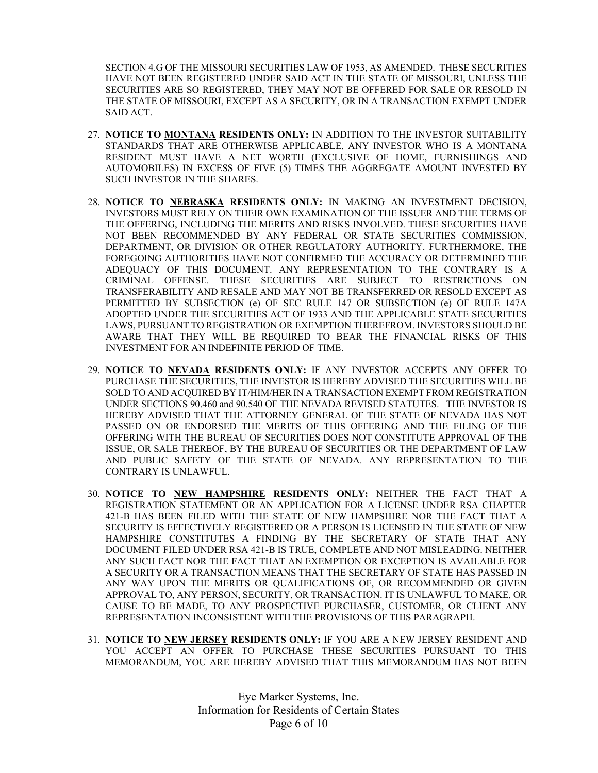SECTION 4.G OF THE MISSOURI SECURITIES LAW OF 1953, AS AMENDED. THESE SECURITIES HAVE NOT BEEN REGISTERED UNDER SAID ACT IN THE STATE OF MISSOURI, UNLESS THE SECURITIES ARE SO REGISTERED, THEY MAY NOT BE OFFERED FOR SALE OR RESOLD IN THE STATE OF MISSOURI, EXCEPT AS A SECURITY, OR IN A TRANSACTION EXEMPT UNDER SAID ACT.

- 27. NOTICE TO MONTANA RESIDENTS ONLY: IN ADDITION TO THE INVESTOR SUITABILITY STANDARDS THAT ARE OTHERWISE APPLICABLE, ANY INVESTOR WHO IS A MONTANA RESIDENT MUST HAVE A NET WORTH (EXCLUSIVE OF HOME, FURNISHINGS AND AUTOMOBILES) IN EXCESS OF FIVE (5) TIMES THE AGGREGATE AMOUNT INVESTED BY SUCH INVESTOR IN THE SHARES.
- 28. NOTICE TO NEBRASKA RESIDENTS ONLY: IN MAKING AN INVESTMENT DECISION, INVESTORS MUST RELY ON THEIR OWN EXAMINATION OF THE ISSUER AND THE TERMS OF THE OFFERING, INCLUDING THE MERITS AND RISKS INVOLVED. THESE SECURITIES HAVE NOT BEEN RECOMMENDED BY ANY FEDERAL OR STATE SECURITIES COMMISSION, DEPARTMENT, OR DIVISION OR OTHER REGULATORY AUTHORITY. FURTHERMORE, THE FOREGOING AUTHORITIES HAVE NOT CONFIRMED THE ACCURACY OR DETERMINED THE ADEQUACY OF THIS DOCUMENT. ANY REPRESENTATION TO THE CONTRARY IS A CRIMINAL OFFENSE. THESE SECURITIES ARE SUBJECT TO RESTRICTIONS ON TRANSFERABILITY AND RESALE AND MAY NOT BE TRANSFERRED OR RESOLD EXCEPT AS PERMITTED BY SUBSECTION (e) OF SEC RULE 147 OR SUBSECTION (e) OF RULE 147A ADOPTED UNDER THE SECURITIES ACT OF 1933 AND THE APPLICABLE STATE SECURITIES LAWS, PURSUANT TO REGISTRATION OR EXEMPTION THEREFROM. INVESTORS SHOULD BE AWARE THAT THEY WILL BE REQUIRED TO BEAR THE FINANCIAL RISKS OF THIS INVESTMENT FOR AN INDEFINITE PERIOD OF TIME.
- 29. NOTICE TO NEVADA RESIDENTS ONLY: IF ANY INVESTOR ACCEPTS ANY OFFER TO PURCHASE THE SECURITIES, THE INVESTOR IS HEREBY ADVISED THE SECURITIES WILL BE SOLD TO AND ACQUIRED BY IT/HIM/HER IN A TRANSACTION EXEMPT FROM REGISTRATION UNDER SECTIONS 90.460 and 90.540 OF THE NEVADA REVISED STATUTES. THE INVESTOR IS HEREBY ADVISED THAT THE ATTORNEY GENERAL OF THE STATE OF NEVADA HAS NOT PASSED ON OR ENDORSED THE MERITS OF THIS OFFERING AND THE FILING OF THE OFFERING WITH THE BUREAU OF SECURITIES DOES NOT CONSTITUTE APPROVAL OF THE ISSUE, OR SALE THEREOF, BY THE BUREAU OF SECURITIES OR THE DEPARTMENT OF LAW AND PUBLIC SAFETY OF THE STATE OF NEVADA. ANY REPRESENTATION TO THE CONTRARY IS UNLAWFUL.
- 30. NOTICE TO NEW HAMPSHIRE RESIDENTS ONLY: NEITHER THE FACT THAT A REGISTRATION STATEMENT OR AN APPLICATION FOR A LICENSE UNDER RSA CHAPTER 421-B HAS BEEN FILED WITH THE STATE OF NEW HAMPSHIRE NOR THE FACT THAT A SECURITY IS EFFECTIVELY REGISTERED OR A PERSON IS LICENSED IN THE STATE OF NEW HAMPSHIRE CONSTITUTES A FINDING BY THE SECRETARY OF STATE THAT ANY DOCUMENT FILED UNDER RSA 421-B IS TRUE, COMPLETE AND NOT MISLEADING. NEITHER ANY SUCH FACT NOR THE FACT THAT AN EXEMPTION OR EXCEPTION IS AVAILABLE FOR A SECURITY OR A TRANSACTION MEANS THAT THE SECRETARY OF STATE HAS PASSED IN ANY WAY UPON THE MERITS OR QUALIFICATIONS OF, OR RECOMMENDED OR GIVEN APPROVAL TO, ANY PERSON, SECURITY, OR TRANSACTION. IT IS UNLAWFUL TO MAKE, OR CAUSE TO BE MADE, TO ANY PROSPECTIVE PURCHASER, CUSTOMER, OR CLIENT ANY REPRESENTATION INCONSISTENT WITH THE PROVISIONS OF THIS PARAGRAPH.
- 31. NOTICE TO NEW JERSEY RESIDENTS ONLY: IF YOU ARE A NEW JERSEY RESIDENT AND YOU ACCEPT AN OFFER TO PURCHASE THESE SECURITIES PURSUANT TO THIS MEMORANDUM, YOU ARE HEREBY ADVISED THAT THIS MEMORANDUM HAS NOT BEEN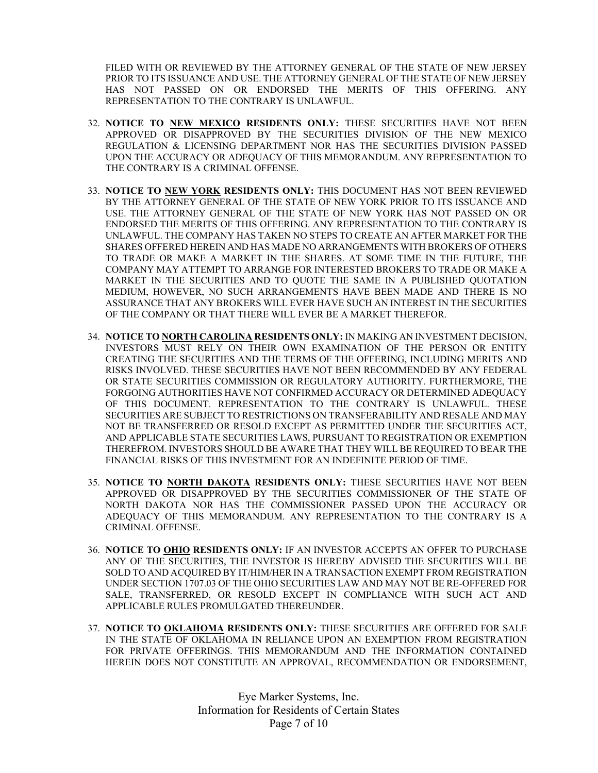FILED WITH OR REVIEWED BY THE ATTORNEY GENERAL OF THE STATE OF NEW JERSEY PRIOR TO ITS ISSUANCE AND USE. THE ATTORNEY GENERAL OF THE STATE OF NEW JERSEY HAS NOT PASSED ON OR ENDORSED THE MERITS OF THIS OFFERING. ANY REPRESENTATION TO THE CONTRARY IS UNLAWFUL.

- 32. NOTICE TO NEW MEXICO RESIDENTS ONLY: THESE SECURITIES HAVE NOT BEEN APPROVED OR DISAPPROVED BY THE SECURITIES DIVISION OF THE NEW MEXICO REGULATION & LICENSING DEPARTMENT NOR HAS THE SECURITIES DIVISION PASSED UPON THE ACCURACY OR ADEQUACY OF THIS MEMORANDUM. ANY REPRESENTATION TO THE CONTRARY IS A CRIMINAL OFFENSE.
- 33. NOTICE TO NEW YORK RESIDENTS ONLY: THIS DOCUMENT HAS NOT BEEN REVIEWED BY THE ATTORNEY GENERAL OF THE STATE OF NEW YORK PRIOR TO ITS ISSUANCE AND USE. THE ATTORNEY GENERAL OF THE STATE OF NEW YORK HAS NOT PASSED ON OR ENDORSED THE MERITS OF THIS OFFERING. ANY REPRESENTATION TO THE CONTRARY IS UNLAWFUL. THE COMPANY HAS TAKEN NO STEPS TO CREATE AN AFTER MARKET FOR THE SHARES OFFERED HEREIN AND HAS MADE NO ARRANGEMENTS WITH BROKERS OF OTHERS TO TRADE OR MAKE A MARKET IN THE SHARES. AT SOME TIME IN THE FUTURE, THE COMPANY MAY ATTEMPT TO ARRANGE FOR INTERESTED BROKERS TO TRADE OR MAKE A MARKET IN THE SECURITIES AND TO QUOTE THE SAME IN A PUBLISHED QUOTATION MEDIUM, HOWEVER, NO SUCH ARRANGEMENTS HAVE BEEN MADE AND THERE IS NO ASSURANCE THAT ANY BROKERS WILL EVER HAVE SUCH AN INTEREST IN THE SECURITIES OF THE COMPANY OR THAT THERE WILL EVER BE A MARKET THEREFOR.
- 34. NOTICE TO NORTH CAROLINA RESIDENTS ONLY: IN MAKING AN INVESTMENT DECISION, INVESTORS MUST RELY ON THEIR OWN EXAMINATION OF THE PERSON OR ENTITY CREATING THE SECURITIES AND THE TERMS OF THE OFFERING, INCLUDING MERITS AND RISKS INVOLVED. THESE SECURITIES HAVE NOT BEEN RECOMMENDED BY ANY FEDERAL OR STATE SECURITIES COMMISSION OR REGULATORY AUTHORITY. FURTHERMORE, THE FORGOING AUTHORITIES HAVE NOT CONFIRMED ACCURACY OR DETERMINED ADEQUACY OF THIS DOCUMENT. REPRESENTATION TO THE CONTRARY IS UNLAWFUL. THESE SECURITIES ARE SUBJECT TO RESTRICTIONS ON TRANSFERABILITY AND RESALE AND MAY NOT BE TRANSFERRED OR RESOLD EXCEPT AS PERMITTED UNDER THE SECURITIES ACT, AND APPLICABLE STATE SECURITIES LAWS, PURSUANT TO REGISTRATION OR EXEMPTION THEREFROM. INVESTORS SHOULD BE AWARE THAT THEY WILL BE REQUIRED TO BEAR THE FINANCIAL RISKS OF THIS INVESTMENT FOR AN INDEFINITE PERIOD OF TIME.
- 35. NOTICE TO NORTH DAKOTA RESIDENTS ONLY: THESE SECURITIES HAVE NOT BEEN APPROVED OR DISAPPROVED BY THE SECURITIES COMMISSIONER OF THE STATE OF NORTH DAKOTA NOR HAS THE COMMISSIONER PASSED UPON THE ACCURACY OR ADEQUACY OF THIS MEMORANDUM. ANY REPRESENTATION TO THE CONTRARY IS A CRIMINAL OFFENSE.
- 36. NOTICE TO OHIO RESIDENTS ONLY: IF AN INVESTOR ACCEPTS AN OFFER TO PURCHASE ANY OF THE SECURITIES, THE INVESTOR IS HEREBY ADVISED THE SECURITIES WILL BE SOLD TO AND ACQUIRED BY IT/HIM/HER IN A TRANSACTION EXEMPT FROM REGISTRATION UNDER SECTION 1707.03 OF THE OHIO SECURITIES LAW AND MAY NOT BE RE-OFFERED FOR SALE, TRANSFERRED, OR RESOLD EXCEPT IN COMPLIANCE WITH SUCH ACT AND APPLICABLE RULES PROMULGATED THEREUNDER.
- 37. NOTICE TO OKLAHOMA RESIDENTS ONLY: THESE SECURITIES ARE OFFERED FOR SALE IN THE STATE OF OKLAHOMA IN RELIANCE UPON AN EXEMPTION FROM REGISTRATION FOR PRIVATE OFFERINGS. THIS MEMORANDUM AND THE INFORMATION CONTAINED HEREIN DOES NOT CONSTITUTE AN APPROVAL, RECOMMENDATION OR ENDORSEMENT,

Eye Marker Systems, Inc. Information for Residents of Certain States Page 7 of 10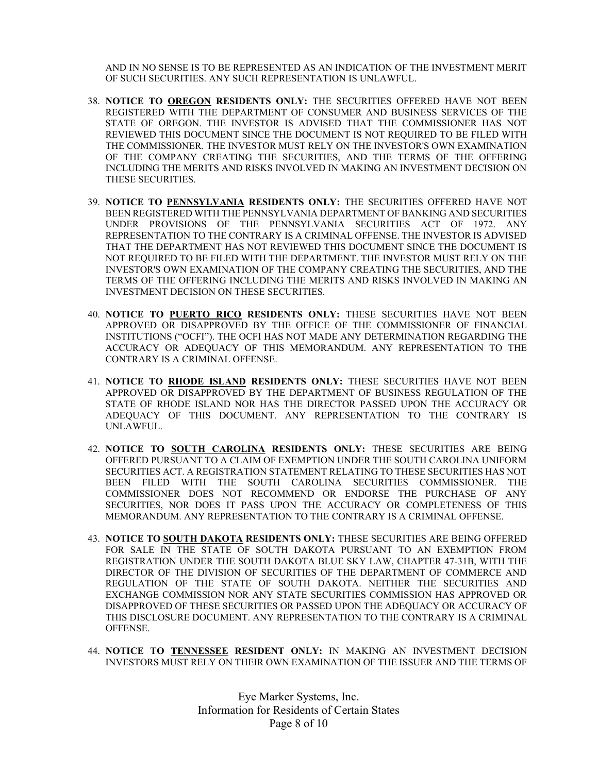AND IN NO SENSE IS TO BE REPRESENTED AS AN INDICATION OF THE INVESTMENT MERIT OF SUCH SECURITIES. ANY SUCH REPRESENTATION IS UNLAWFUL.

- 38. NOTICE TO OREGON RESIDENTS ONLY: THE SECURITIES OFFERED HAVE NOT BEEN REGISTERED WITH THE DEPARTMENT OF CONSUMER AND BUSINESS SERVICES OF THE STATE OF OREGON. THE INVESTOR IS ADVISED THAT THE COMMISSIONER HAS NOT REVIEWED THIS DOCUMENT SINCE THE DOCUMENT IS NOT REQUIRED TO BE FILED WITH THE COMMISSIONER. THE INVESTOR MUST RELY ON THE INVESTOR'S OWN EXAMINATION OF THE COMPANY CREATING THE SECURITIES, AND THE TERMS OF THE OFFERING INCLUDING THE MERITS AND RISKS INVOLVED IN MAKING AN INVESTMENT DECISION ON THESE SECURITIES.
- 39. NOTICE TO PENNSYLVANIA RESIDENTS ONLY: THE SECURITIES OFFERED HAVE NOT BEEN REGISTERED WITH THE PENNSYLVANIA DEPARTMENT OF BANKING AND SECURITIES UNDER PROVISIONS OF THE PENNSYLVANIA SECURITIES ACT OF 1972. ANY REPRESENTATION TO THE CONTRARY IS A CRIMINAL OFFENSE. THE INVESTOR IS ADVISED THAT THE DEPARTMENT HAS NOT REVIEWED THIS DOCUMENT SINCE THE DOCUMENT IS NOT REQUIRED TO BE FILED WITH THE DEPARTMENT. THE INVESTOR MUST RELY ON THE INVESTOR'S OWN EXAMINATION OF THE COMPANY CREATING THE SECURITIES, AND THE TERMS OF THE OFFERING INCLUDING THE MERITS AND RISKS INVOLVED IN MAKING AN INVESTMENT DECISION ON THESE SECURITIES.
- 40. NOTICE TO PUERTO RICO RESIDENTS ONLY: THESE SECURITIES HAVE NOT BEEN APPROVED OR DISAPPROVED BY THE OFFICE OF THE COMMISSIONER OF FINANCIAL INSTITUTIONS ("OCFI"). THE OCFI HAS NOT MADE ANY DETERMINATION REGARDING THE ACCURACY OR ADEQUACY OF THIS MEMORANDUM. ANY REPRESENTATION TO THE CONTRARY IS A CRIMINAL OFFENSE.
- 41. NOTICE TO RHODE ISLAND RESIDENTS ONLY: THESE SECURITIES HAVE NOT BEEN APPROVED OR DISAPPROVED BY THE DEPARTMENT OF BUSINESS REGULATION OF THE STATE OF RHODE ISLAND NOR HAS THE DIRECTOR PASSED UPON THE ACCURACY OR ADEQUACY OF THIS DOCUMENT. ANY REPRESENTATION TO THE CONTRARY IS UNLAWFUL.
- 42. NOTICE TO SOUTH CAROLINA RESIDENTS ONLY: THESE SECURITIES ARE BEING OFFERED PURSUANT TO A CLAIM OF EXEMPTION UNDER THE SOUTH CAROLINA UNIFORM SECURITIES ACT. A REGISTRATION STATEMENT RELATING TO THESE SECURITIES HAS NOT BEEN FILED WITH THE SOUTH CAROLINA SECURITIES COMMISSIONER. THE COMMISSIONER DOES NOT RECOMMEND OR ENDORSE THE PURCHASE OF ANY SECURITIES, NOR DOES IT PASS UPON THE ACCURACY OR COMPLETENESS OF THIS MEMORANDUM. ANY REPRESENTATION TO THE CONTRARY IS A CRIMINAL OFFENSE.
- 43. NOTICE TO SOUTH DAKOTA RESIDENTS ONLY: THESE SECURITIES ARE BEING OFFERED FOR SALE IN THE STATE OF SOUTH DAKOTA PURSUANT TO AN EXEMPTION FROM REGISTRATION UNDER THE SOUTH DAKOTA BLUE SKY LAW, CHAPTER 47-31B, WITH THE DIRECTOR OF THE DIVISION OF SECURITIES OF THE DEPARTMENT OF COMMERCE AND REGULATION OF THE STATE OF SOUTH DAKOTA. NEITHER THE SECURITIES AND EXCHANGE COMMISSION NOR ANY STATE SECURITIES COMMISSION HAS APPROVED OR DISAPPROVED OF THESE SECURITIES OR PASSED UPON THE ADEQUACY OR ACCURACY OF THIS DISCLOSURE DOCUMENT. ANY REPRESENTATION TO THE CONTRARY IS A CRIMINAL OFFENSE.
- 44. NOTICE TO TENNESSEE RESIDENT ONLY: IN MAKING AN INVESTMENT DECISION INVESTORS MUST RELY ON THEIR OWN EXAMINATION OF THE ISSUER AND THE TERMS OF

Eye Marker Systems, Inc. Information for Residents of Certain States Page 8 of 10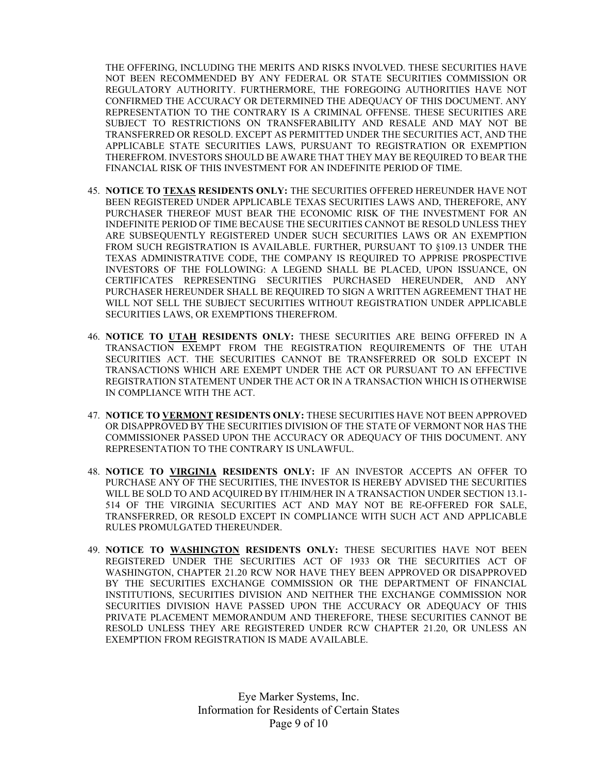THE OFFERING, INCLUDING THE MERITS AND RISKS INVOLVED. THESE SECURITIES HAVE NOT BEEN RECOMMENDED BY ANY FEDERAL OR STATE SECURITIES COMMISSION OR REGULATORY AUTHORITY. FURTHERMORE, THE FOREGOING AUTHORITIES HAVE NOT CONFIRMED THE ACCURACY OR DETERMINED THE ADEQUACY OF THIS DOCUMENT. ANY REPRESENTATION TO THE CONTRARY IS A CRIMINAL OFFENSE. THESE SECURITIES ARE SUBJECT TO RESTRICTIONS ON TRANSFERABILITY AND RESALE AND MAY NOT BE TRANSFERRED OR RESOLD. EXCEPT AS PERMITTED UNDER THE SECURITIES ACT, AND THE APPLICABLE STATE SECURITIES LAWS, PURSUANT TO REGISTRATION OR EXEMPTION THEREFROM. INVESTORS SHOULD BE AWARE THAT THEY MAY BE REQUIRED TO BEAR THE FINANCIAL RISK OF THIS INVESTMENT FOR AN INDEFINITE PERIOD OF TIME.

- 45. NOTICE TO TEXAS RESIDENTS ONLY: THE SECURITIES OFFERED HEREUNDER HAVE NOT BEEN REGISTERED UNDER APPLICABLE TEXAS SECURITIES LAWS AND, THEREFORE, ANY PURCHASER THEREOF MUST BEAR THE ECONOMIC RISK OF THE INVESTMENT FOR AN INDEFINITE PERIOD OF TIME BECAUSE THE SECURITIES CANNOT BE RESOLD UNLESS THEY ARE SUBSEQUENTLY REGISTERED UNDER SUCH SECURITIES LAWS OR AN EXEMPTION FROM SUCH REGISTRATION IS AVAILABLE. FURTHER, PURSUANT TO §109.13 UNDER THE TEXAS ADMINISTRATIVE CODE, THE COMPANY IS REQUIRED TO APPRISE PROSPECTIVE INVESTORS OF THE FOLLOWING: A LEGEND SHALL BE PLACED, UPON ISSUANCE, ON CERTIFICATES REPRESENTING SECURITIES PURCHASED HEREUNDER, AND ANY PURCHASER HEREUNDER SHALL BE REQUIRED TO SIGN A WRITTEN AGREEMENT THAT HE WILL NOT SELL THE SUBJECT SECURITIES WITHOUT REGISTRATION UNDER APPLICABLE SECURITIES LAWS, OR EXEMPTIONS THEREFROM.
- 46. NOTICE TO UTAH RESIDENTS ONLY: THESE SECURITIES ARE BEING OFFERED IN A TRANSACTION EXEMPT FROM THE REGISTRATION REQUIREMENTS OF THE UTAH SECURITIES ACT. THE SECURITIES CANNOT BE TRANSFERRED OR SOLD EXCEPT IN TRANSACTIONS WHICH ARE EXEMPT UNDER THE ACT OR PURSUANT TO AN EFFECTIVE REGISTRATION STATEMENT UNDER THE ACT OR IN A TRANSACTION WHICH IS OTHERWISE IN COMPLIANCE WITH THE ACT.
- 47. NOTICE TO VERMONT RESIDENTS ONLY: THESE SECURITIES HAVE NOT BEEN APPROVED OR DISAPPROVED BY THE SECURITIES DIVISION OF THE STATE OF VERMONT NOR HAS THE COMMISSIONER PASSED UPON THE ACCURACY OR ADEQUACY OF THIS DOCUMENT. ANY REPRESENTATION TO THE CONTRARY IS UNLAWFUL.
- 48. NOTICE TO VIRGINIA RESIDENTS ONLY: IF AN INVESTOR ACCEPTS AN OFFER TO PURCHASE ANY OF THE SECURITIES, THE INVESTOR IS HEREBY ADVISED THE SECURITIES WILL BE SOLD TO AND ACQUIRED BY IT/HIM/HER IN A TRANSACTION UNDER SECTION 13.1- 514 OF THE VIRGINIA SECURITIES ACT AND MAY NOT BE RE-OFFERED FOR SALE, TRANSFERRED, OR RESOLD EXCEPT IN COMPLIANCE WITH SUCH ACT AND APPLICABLE RULES PROMULGATED THEREUNDER.
- 49. NOTICE TO WASHINGTON RESIDENTS ONLY: THESE SECURITIES HAVE NOT BEEN REGISTERED UNDER THE SECURITIES ACT OF 1933 OR THE SECURITIES ACT OF WASHINGTON, CHAPTER 21.20 RCW NOR HAVE THEY BEEN APPROVED OR DISAPPROVED BY THE SECURITIES EXCHANGE COMMISSION OR THE DEPARTMENT OF FINANCIAL INSTITUTIONS, SECURITIES DIVISION AND NEITHER THE EXCHANGE COMMISSION NOR SECURITIES DIVISION HAVE PASSED UPON THE ACCURACY OR ADEQUACY OF THIS PRIVATE PLACEMENT MEMORANDUM AND THEREFORE, THESE SECURITIES CANNOT BE RESOLD UNLESS THEY ARE REGISTERED UNDER RCW CHAPTER 21.20, OR UNLESS AN EXEMPTION FROM REGISTRATION IS MADE AVAILABLE.